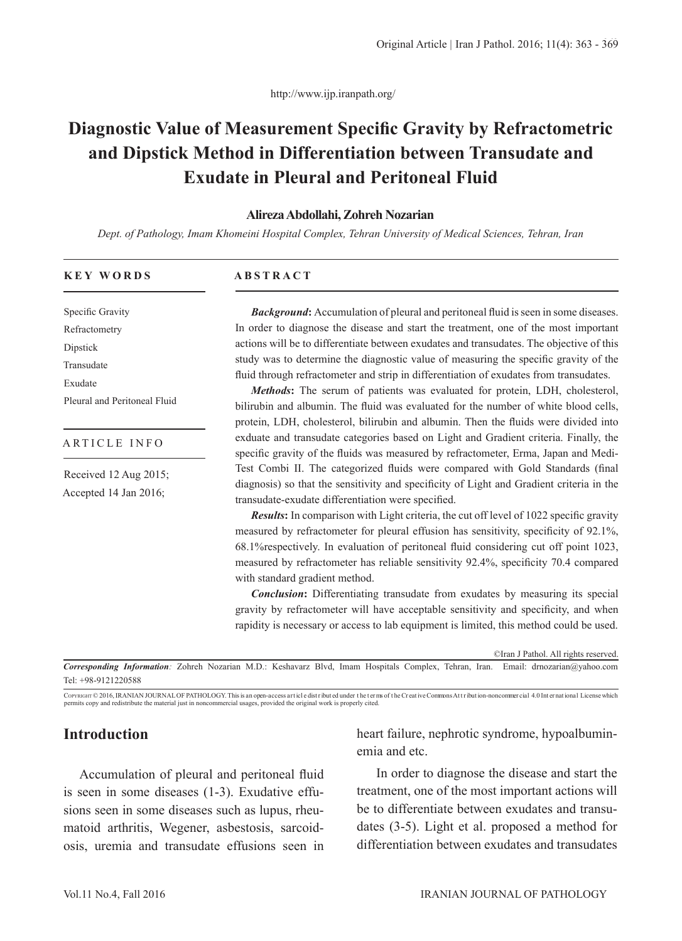http://www.ijp.iranpath.org/

# **Diagnostic Value of Measurement Specific Gravity by Refractometric and Dipstick Method in Differentiation between Transudate and Exudate in Pleural and Peritoneal Fluid**

### **Alireza Abdollahi, Zohreh Nozarian**

*Dept. of Pathology, Imam Khomeini Hospital Complex, Tehran University of Medical Sciences, Tehran, Iran*

| <b>KEY WORDS</b>                               | <b>ABSTRACT</b>                                                                                                                                                                                                                                           |
|------------------------------------------------|-----------------------------------------------------------------------------------------------------------------------------------------------------------------------------------------------------------------------------------------------------------|
| Specific Gravity                               | <b>Background:</b> Accumulation of pleural and peritoneal fluid is seen in some diseases.                                                                                                                                                                 |
| Refractometry                                  | In order to diagnose the disease and start the treatment, one of the most important                                                                                                                                                                       |
| Dipstick                                       | actions will be to differentiate between exudates and transudates. The objective of this                                                                                                                                                                  |
| Transudate                                     | study was to determine the diagnostic value of measuring the specific gravity of the                                                                                                                                                                      |
| Exudate                                        | fluid through refractometer and strip in differentiation of exudates from transudates.                                                                                                                                                                    |
| Pleural and Peritoneal Fluid                   | Methods: The serum of patients was evaluated for protein, LDH, cholesterol,<br>bilirubin and albumin. The fluid was evaluated for the number of white blood cells,<br>protein, LDH, cholesterol, bilirubin and albumin. Then the fluids were divided into |
| ARTICLE INFO                                   | exduate and transudate categories based on Light and Gradient criteria. Finally, the<br>specific gravity of the fluids was measured by refractometer, Erma, Japan and Medi-                                                                               |
| Received 12 Aug 2015;<br>Accepted 14 Jan 2016; | Test Combi II. The categorized fluids were compared with Gold Standards (final<br>diagnosis) so that the sensitivity and specificity of Light and Gradient criteria in the<br>transudate-exudate differentiation were specified.                          |
|                                                | <b>Results:</b> In comparison with Light criteria, the cut off level of 1022 specific gravity<br>measured by refractometer for pleural effusion has sensitivity, specificity of 92.1%,                                                                    |
|                                                | 68.1% respectively. In evaluation of peritoneal fluid considering cut off point 1023,<br>measured by refractometer has reliable sensitivity 92.4%, specificity 70.4 compared<br>with standard gradient method.                                            |
|                                                | <b>Conclusion:</b> Differentiating transudate from exudates by measuring its special                                                                                                                                                                      |
|                                                | gravity by refractometer will have acceptable sensitivity and specificity, and when                                                                                                                                                                       |
|                                                | rapidity is necessary or access to lab equipment is limited, this method could be used.                                                                                                                                                                   |
|                                                | ©Iran J Pathol. All rights reserved.                                                                                                                                                                                                                      |
|                                                | Corresponding Information: Zohreh Nozarian M.D.: Keshavarz Blvd, Imam Hospitals Complex, Tehran, Iran. Email: drnozarian@yahoo.com                                                                                                                        |

Tel: +98-9121220588

Copyright © 2016, IRANIAN JOURNAL OF PATHOLOGY. This is an open-access article distributed under the terms of the Creative Commons Attribution-noncommercial 4.0 International License which<br>permits copy and redistribute the

# **Introduction**

Accumulation of pleural and peritoneal fluid is seen in some diseases (1-3). Exudative effusions seen in some diseases such as lupus, rheumatoid arthritis, Wegener, asbestosis, sarcoidosis, uremia and transudate effusions seen in

heart failure, nephrotic syndrome, hypoalbuminemia and etc.

 In order to diagnose the disease and start the treatment, one of the most important actions will be to differentiate between exudates and transudates (3-5). Light et al. proposed a method for differentiation between exudates and transudates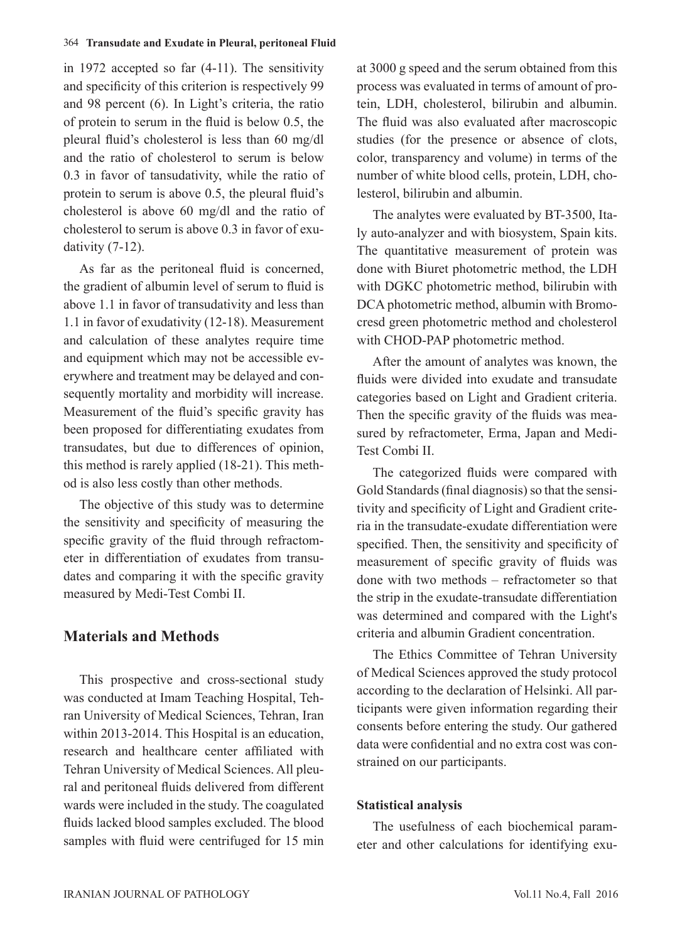#### 364 **Transudate and Exudate in Pleural, peritoneal Fluid**

in 1972 accepted so far (4-11). The sensitivity and specificity of this criterion is respectively 99 and 98 percent (6). In Light's criteria, the ratio of protein to serum in the fluid is below 0.5, the pleural fluid's cholesterol is less than 60 mg/dl and the ratio of cholesterol to serum is below 0.3 in favor of tansudativity, while the ratio of protein to serum is above 0.5, the pleural fluid's cholesterol is above 60 mg/dl and the ratio of cholesterol to serum is above 0.3 in favor of exudativity (7-12).

As far as the peritoneal fluid is concerned, the gradient of albumin level of serum to fluid is above 1.1 in favor of transudativity and less than 1.1 in favor of exudativity (12-18). Measurement and calculation of these analytes require time and equipment which may not be accessible everywhere and treatment may be delayed and consequently mortality and morbidity will increase. Measurement of the fluid's specific gravity has been proposed for differentiating exudates from transudates, but due to differences of opinion, this method is rarely applied (18-21). This method is also less costly than other methods.

The objective of this study was to determine the sensitivity and specificity of measuring the specific gravity of the fluid through refractometer in differentiation of exudates from transudates and comparing it with the specific gravity measured by Medi-Test Combi II.

# **Materials and Methods**

This prospective and cross-sectional study was conducted at Imam Teaching Hospital, Tehran University of Medical Sciences, Tehran, Iran within 2013-2014. This Hospital is an education, research and healthcare center affiliated with Tehran University of Medical Sciences. All pleural and peritoneal fluids delivered from different wards were included in the study. The coagulated fluids lacked blood samples excluded. The blood samples with fluid were centrifuged for 15 min at 3000 g speed and the serum obtained from this process was evaluated in terms of amount of protein, LDH, cholesterol, bilirubin and albumin. The fluid was also evaluated after macroscopic studies (for the presence or absence of clots, color, transparency and volume) in terms of the number of white blood cells, protein, LDH, cholesterol, bilirubin and albumin.

The analytes were evaluated by BT-3500, Italy auto-analyzer and with biosystem, Spain kits. The quantitative measurement of protein was done with Biuret photometric method, the LDH with DGKC photometric method, bilirubin with DCA photometric method, albumin with Bromocresd green photometric method and cholesterol with CHOD-PAP photometric method.

After the amount of analytes was known, the fluids were divided into exudate and transudate categories based on Light and Gradient criteria. Then the specific gravity of the fluids was measured by refractometer, Erma, Japan and Medi-Test Combi II.

The categorized fluids were compared with Gold Standards (final diagnosis) so that the sensitivity and specificity of Light and Gradient criteria in the transudate-exudate differentiation were specified. Then, the sensitivity and specificity of measurement of specific gravity of fluids was done with two methods – refractometer so that the strip in the exudate-transudate differentiation was determined and compared with the Light's criteria and albumin Gradient concentration.

The Ethics Committee of Tehran University of Medical Sciences approved the study protocol according to the declaration of Helsinki. All participants were given information regarding their consents before entering the study. Our gathered data were confidential and no extra cost was constrained on our participants.

### **Statistical analysis**

The usefulness of each biochemical parameter and other calculations for identifying exu-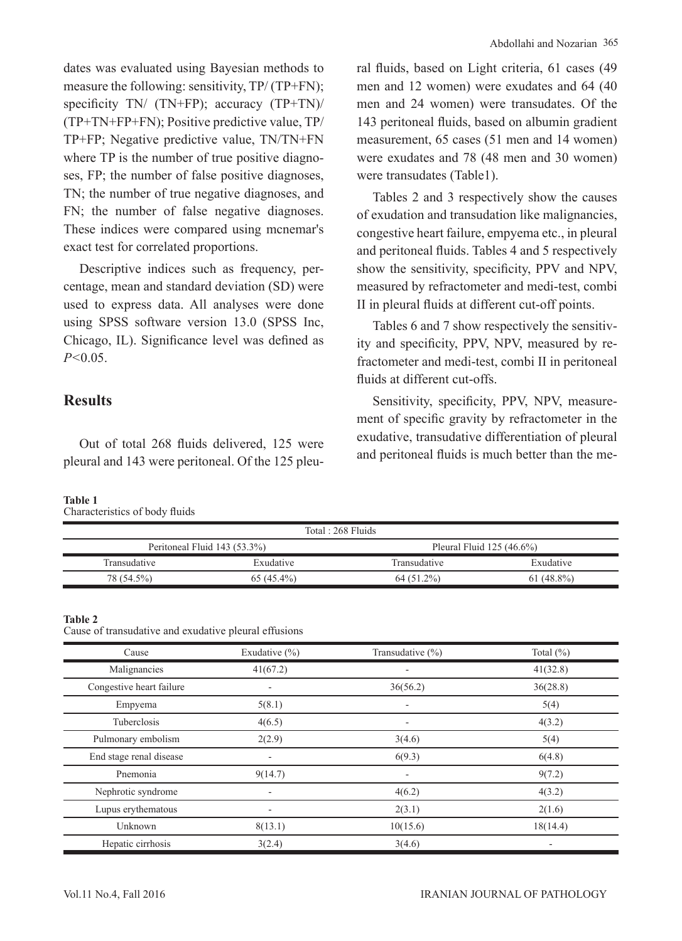dates was evaluated using Bayesian methods to measure the following: sensitivity, TP/ (TP+FN); specificity TN/ (TN+FP); accuracy (TP+TN)/ (TP+TN+FP+FN); Positive predictive value, TP/ TP+FP; Negative predictive value, TN/TN+FN where TP is the number of true positive diagnoses, FP; the number of false positive diagnoses, TN; the number of true negative diagnoses, and FN; the number of false negative diagnoses. These indices were compared using mcnemar's exact test for correlated proportions.

Descriptive indices such as frequency, percentage, mean and standard deviation (SD) were used to express data. All analyses were done using SPSS software version 13.0 (SPSS Inc, Chicago, IL). Significance level was defined as *P<*0.05.

# **Results**

Out of total 268 fluids delivered, 125 were pleural and 143 were peritoneal. Of the 125 pleu-

#### 365 Abdollahi and Nozarian

ral fluids, based on Light criteria, 61 cases (49 men and 12 women) were exudates and 64 (40 men and 24 women) were transudates. Of the 143 peritoneal fluids, based on albumin gradient measurement, 65 cases (51 men and 14 women) were exudates and 78 (48 men and 30 women) were transudates (Table1).

Tables 2 and 3 respectively show the causes of exudation and transudation like malignancies, congestive heart failure, empyema etc., in pleural and peritoneal fluids. Tables 4 and 5 respectively show the sensitivity, specificity, PPV and NPV, measured by refractometer and medi-test, combi II in pleural fluids at different cut-off points.

Tables 6 and 7 show respectively the sensitivity and specificity, PPV, NPV, measured by refractometer and medi-test, combi II in peritoneal fluids at different cut-offs.

Sensitivity, specificity, PPV, NPV, measurement of specific gravity by refractometer in the exudative, transudative differentiation of pleural and peritoneal fluids is much better than the me-

#### **Table 1**

Characteristics of body fluids

| Total: 268 Fluids            |              |                             |               |  |
|------------------------------|--------------|-----------------------------|---------------|--|
| Peritoneal Fluid 143 (53.3%) |              | Pleural Fluid $125(46.6\%)$ |               |  |
| Transudative                 | Exudative    | Transudative                | Exudative     |  |
| 78 (54.5%)                   | $65(45.4\%)$ | 64 (51.2%)                  | $61 (48.8\%)$ |  |

#### **Table 2**

Cause of transudative and exudative pleural effusions

| Cause                    | Exudative $(\% )$        | Transudative $(\% )$     | Total $(\% )$  |
|--------------------------|--------------------------|--------------------------|----------------|
| Malignancies             | 41(67.2)                 | $\overline{\phantom{0}}$ | 41(32.8)       |
| Congestive heart failure | $\overline{\phantom{0}}$ | 36(56.2)                 | 36(28.8)       |
| Empyema                  | 5(8.1)                   | $\overline{\phantom{a}}$ | 5(4)           |
| Tuberclosis              | 4(6.5)                   | $\overline{\phantom{a}}$ | 4(3.2)         |
| Pulmonary embolism       | 2(2.9)                   | 3(4.6)                   | 5(4)           |
| End stage renal disease  | -                        | 6(9.3)                   | 6(4.8)         |
| Pnemonia                 | 9(14.7)                  | $\overline{\phantom{a}}$ | 9(7.2)         |
| Nephrotic syndrome       | -                        | 4(6.2)                   | 4(3.2)         |
| Lupus erythematous       |                          | 2(3.1)                   | 2(1.6)         |
| Unknown                  | 8(13.1)                  | 10(15.6)                 | 18(14.4)       |
| Hepatic cirrhosis        | 3(2.4)                   | 3(4.6)                   | $\overline{a}$ |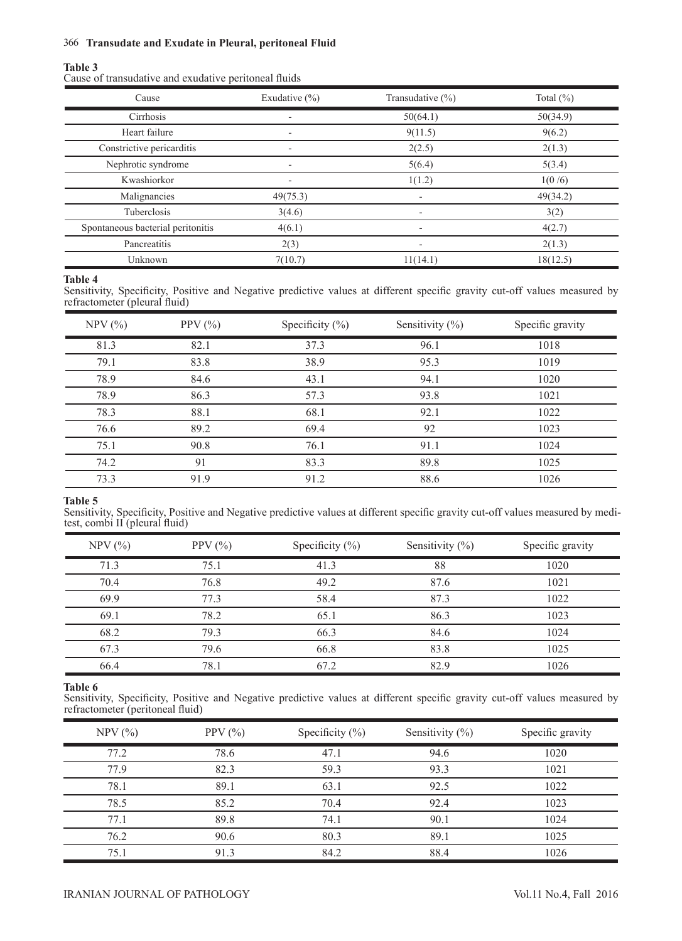### 366 **Transudate and Exudate in Pleural, peritoneal Fluid**

#### **Table 3**

Cause of transudative and exudative peritoneal fluids

| Cause                             | Exudative $(\% )$        | Transudative $(\% )$     | Total $(\%)$ |
|-----------------------------------|--------------------------|--------------------------|--------------|
| Cirrhosis                         | $\overline{\phantom{a}}$ | 50(64.1)                 | 50(34.9)     |
| Heart failure                     | -                        | 9(11.5)                  | 9(6.2)       |
| Constrictive pericarditis         | -                        | 2(2.5)                   | 2(1.3)       |
| Nephrotic syndrome                | -                        | 5(6.4)                   | 5(3.4)       |
| Kwashiorkor                       | -                        | 1(1.2)                   | 1(0/6)       |
| Malignancies                      | 49(75.3)                 |                          | 49(34.2)     |
| Tuberclosis                       | 3(4.6)                   |                          | 3(2)         |
| Spontaneous bacterial peritonitis | 4(6.1)                   | $\overline{a}$           | 4(2.7)       |
| Pancreatitis                      | 2(3)                     | $\overline{\phantom{a}}$ | 2(1.3)       |
| Unknown                           | 7(10.7)                  | 11(14.1)                 | 18(12.5)     |

#### **Table 4**

Sensitivity, Specificity, Positive and Negative predictive values at different specific gravity cut-off values measured by refractometer (pleural fluid)

| $NPV$ $(\% )$ | PPV $(\% )$ | Specificity $(\%)$ | Sensitivity $(\% )$ | Specific gravity |
|---------------|-------------|--------------------|---------------------|------------------|
| 81.3          | 82.1        | 37.3               | 96.1                | 1018             |
| 79.1          | 83.8        | 38.9               | 95.3                | 1019             |
| 78.9          | 84.6        | 43.1               | 94.1                | 1020             |
| 78.9          | 86.3        | 57.3               | 93.8                | 1021             |
| 78.3          | 88.1        | 68.1               | 92.1                | 1022             |
| 76.6          | 89.2        | 69.4               | 92                  | 1023             |
| 75.1          | 90.8        | 76.1               | 91.1                | 1024             |
| 74.2          | 91          | 83.3               | 89.8                | 1025             |
| 73.3          | 91.9        | 91.2               | 88.6                | 1026             |

#### **Table 5**

Sensitivity, Specificity, Positive and Negative predictive values at different specific gravity cut-off values measured by meditest, combi II (pleural fluid)

| $NPV$ $(\% )$ | PPV $(\% )$ | Specificity $(\% )$ | Sensitivity $(\% )$ | Specific gravity |
|---------------|-------------|---------------------|---------------------|------------------|
| 71.3          | 75.1        | 41.3                | 88                  | 1020             |
| 70.4          | 76.8        | 49.2                | 87.6                | 1021             |
| 69.9          | 77.3        | 58.4                | 87.3                | 1022             |
| 69.1          | 78.2        | 65.1                | 86.3                | 1023             |
| 68.2          | 79.3        | 66.3                | 84.6                | 1024             |
| 67.3          | 79.6        | 66.8                | 83.8                | 1025             |
| 66.4          | 78.1        | 67.2                | 82.9                | 1026             |

#### **Table 6**

Sensitivity, Specificity, Positive and Negative predictive values at different specific gravity cut-off values measured by refractometer (peritoneal fluid)

| $NPV$ $(\% )$ | PPV $(\% )$ | Specificity $(\% )$ | Sensitivity $(\% )$ | Specific gravity |
|---------------|-------------|---------------------|---------------------|------------------|
| 77.2          | 78.6        | 47.1                | 94.6                | 1020             |
| 77.9          | 82.3        | 59.3                | 93.3                | 1021             |
| 78.1          | 89.1        | 63.1                | 92.5                | 1022             |
| 78.5          | 85.2        | 70.4                | 92.4                | 1023             |
| 77.1          | 89.8        | 74.1                | 90.1                | 1024             |
| 76.2          | 90.6        | 80.3                | 89.1                | 1025             |
| 75.1          | 91.3        | 84.2                | 88.4                | 1026             |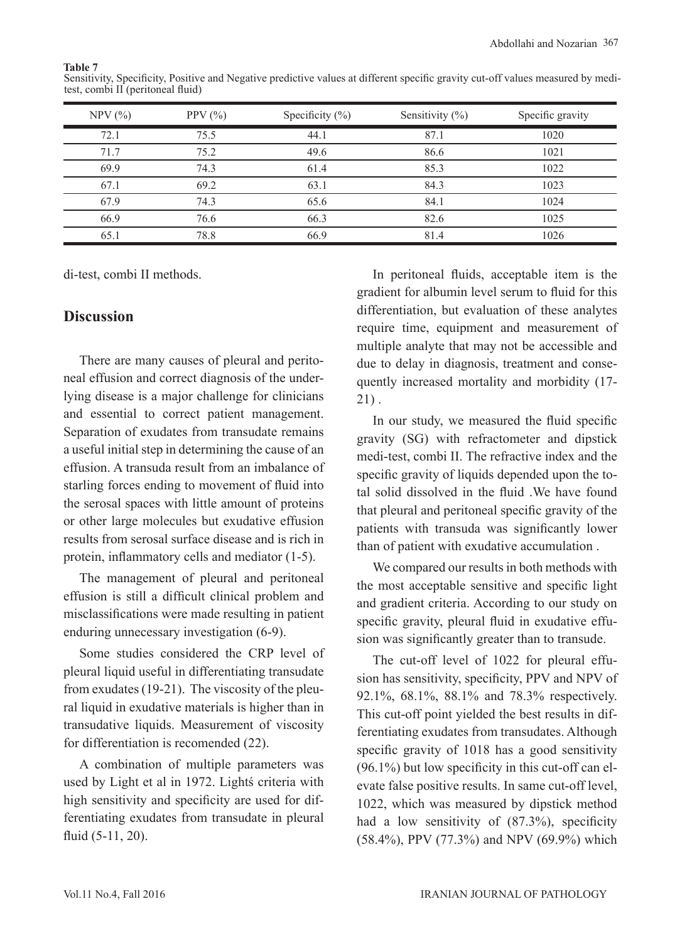NPV (%) PPV (%) Specificity (%) Sensitivity (%) Specific gravity 72.1 75.5 44.1 87.1 1020 71.7 75.2 49.6 86.6 1021 69.9 74.3 61.4 85.3 1022 67.1 69.2 63.1 84.3 1023 67.9 74.3 65.6 84.1 1024 66.9 76.6 66.3 82.6 1025 65.1 78.8 66.9 81.4 1026

**Table 7** Sensitivity, Specificity, Positive and Negative predictive values at different specific gravity cut-off values measured by meditest, combi II (peritoneal fluid)

di-test, combi II methods.

# **Discussion**

There are many causes of pleural and peritoneal effusion and correct diagnosis of the underlying disease is a major challenge for clinicians and essential to correct patient management. Separation of exudates from transudate remains a useful initial step in determining the cause of an effusion. A transuda result from an imbalance of starling forces ending to movement of fluid into the serosal spaces with little amount of proteins or other large molecules but exudative effusion results from serosal surface disease and is rich in protein, inflammatory cells and mediator (1-5).

The management of pleural and peritoneal effusion is still a difficult clinical problem and misclassifications were made resulting in patient enduring unnecessary investigation (6-9).

Some studies considered the CRP level of pleural liquid useful in differentiating transudate from exudates (19-21). The viscosity of the pleural liquid in exudative materials is higher than in transudative liquids. Measurement of viscosity for differentiation is recomended (22).

A combination of multiple parameters was used by Light et al in 1972. Lightś criteria with high sensitivity and specificity are used for differentiating exudates from transudate in pleural fluid (5-11, 20).

In peritoneal fluids, acceptable item is the gradient for albumin level serum to fluid for this differentiation, but evaluation of these analytes require time, equipment and measurement of multiple analyte that may not be accessible and due to delay in diagnosis, treatment and consequently increased mortality and morbidity (17- 21) .

In our study, we measured the fluid specific gravity (SG) with refractometer and dipstick medi-test, combi II. The refractive index and the specific gravity of liquids depended upon the total solid dissolved in the fluid .We have found that pleural and peritoneal specific gravity of the patients with transuda was significantly lower than of patient with exudative accumulation .

We compared our results in both methods with the most acceptable sensitive and specific light and gradient criteria. According to our study on specific gravity, pleural fluid in exudative effusion was significantly greater than to transude.

The cut-off level of 1022 for pleural effusion has sensitivity, specificity, PPV and NPV of 92.1%, 68.1%, 88.1% and 78.3% respectively. This cut-off point yielded the best results in differentiating exudates from transudates. Although specific gravity of 1018 has a good sensitivity (96.1%) but low specificity in this cut-off can elevate false positive results. In same cut-off level, 1022, which was measured by dipstick method had a low sensitivity of  $(87.3%)$ , specificity (58.4%), PPV (77.3%) and NPV (69.9%) which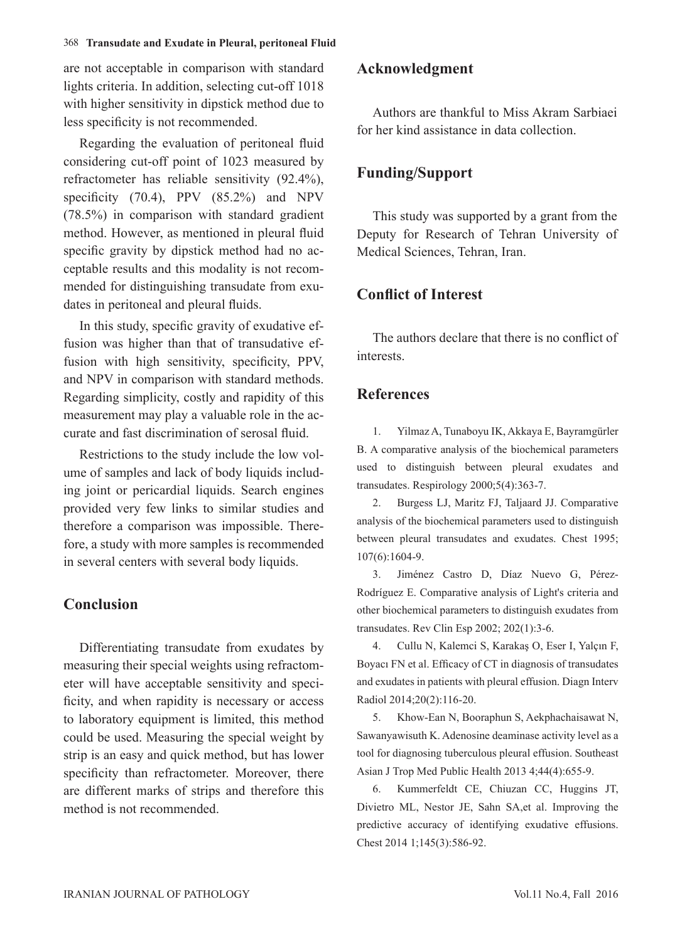#### 368 **Transudate and Exudate in Pleural, peritoneal Fluid**

are not acceptable in comparison with standard lights criteria. In addition, selecting cut-off 1018 with higher sensitivity in dipstick method due to less specificity is not recommended.

Regarding the evaluation of peritoneal fluid considering cut-off point of 1023 measured by refractometer has reliable sensitivity (92.4%), specificity (70.4), PPV (85.2%) and NPV (78.5%) in comparison with standard gradient method. However, as mentioned in pleural fluid specific gravity by dipstick method had no acceptable results and this modality is not recommended for distinguishing transudate from exudates in peritoneal and pleural fluids.

In this study, specific gravity of exudative effusion was higher than that of transudative effusion with high sensitivity, specificity, PPV, and NPV in comparison with standard methods. Regarding simplicity, costly and rapidity of this measurement may play a valuable role in the accurate and fast discrimination of serosal fluid.

Restrictions to the study include the low volume of samples and lack of body liquids including joint or pericardial liquids. Search engines provided very few links to similar studies and therefore a comparison was impossible. Therefore, a study with more samples is recommended in several centers with several body liquids.

### **Conclusion**

Differentiating transudate from exudates by measuring their special weights using refractometer will have acceptable sensitivity and specificity, and when rapidity is necessary or access to laboratory equipment is limited, this method could be used. Measuring the special weight by strip is an easy and quick method, but has lower specificity than refractometer. Moreover, there are different marks of strips and therefore this method is not recommended.

### **Acknowledgment**

Authors are thankful to Miss Akram Sarbiaei for her kind assistance in data collection.

### **Funding/Support**

This study was supported by a grant from the Deputy for Research of Tehran University of Medical Sciences, Tehran, Iran.

### **Conflict of Interest**

The authors declare that there is no conflict of interests.

### **References**

1. Yilmaz A, Tunaboyu IK, Akkaya E, Bayramgürler B. A comparative analysis of the biochemical parameters used to distinguish between pleural exudates and transudates. Respirology 2000;5(4):363-7.

2. Burgess LJ, Maritz FJ, Taljaard JJ. Comparative analysis of the biochemical parameters used to distinguish between pleural transudates and exudates. Chest 1995; 107(6):1604-9.

3. Jiménez Castro D, Díaz Nuevo G, Pérez-Rodríguez E. Comparative analysis of Light's criteria and other biochemical parameters to distinguish exudates from transudates. Rev Clin Esp 2002; 202(1):3-6.

4. Cullu N, Kalemci S, Karakaş O, Eser I, Yalçın F, Boyacı FN et al. Efficacy of CT in diagnosis of transudates and exudates in patients with pleural effusion. Diagn Interv Radiol 2014;20(2):116-20.

5. Khow-Ean N, Booraphun S, Aekphachaisawat N, Sawanyawisuth K. Adenosine deaminase activity level as a tool for diagnosing tuberculous pleural effusion. Southeast Asian J Trop Med Public Health 2013 4;44(4):655-9.

6. Kummerfeldt CE, Chiuzan CC, Huggins JT, Divietro ML, Nestor JE, Sahn SA,et al. Improving the predictive accuracy of identifying exudative effusions. Chest 2014 1;145(3):586-92.